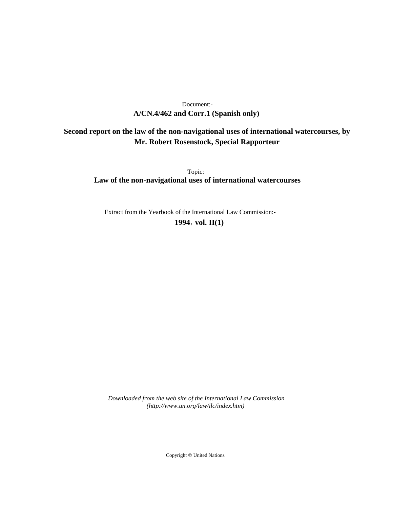# **A/CN.4/462 and Corr.1 (Spanish only)** Document:-

# **Second report on the law of the non-navigational uses of international watercourses, by Mr. Robert Rosenstock, Special Rapporteur**

Topic: **Law of the non-navigational uses of international watercourses**

Extract from the Yearbook of the International Law Commission:-

**1994** , **vol. II(1)**

*Downloaded from the web site of the International Law Commission (http://www.un.org/law/ilc/index.htm)*

Copyright © United Nations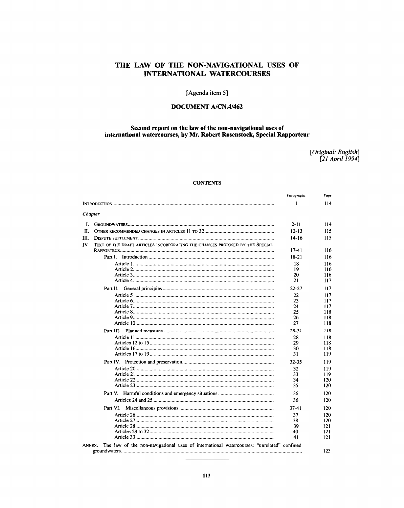# **THE LAW OF THE NON-NAVIGATIONAL USES OF INTERNATIONAL WATERCOURSES**

# [Agenda item 5]

# **DOCUMENT A/CN.4/462**

# **Second report on the law of the non-navigational uses of international watercourses, by Mr. Robert Rosenstock, Special Rapporteur**

*[Original: English] [21 April 1994]*

# **CONTENTS**

|         |                                                                                          | Paragraphs | Page |
|---------|------------------------------------------------------------------------------------------|------------|------|
|         |                                                                                          | 1          | 114  |
| Chapter |                                                                                          |            |      |
| I.      |                                                                                          | $2 - 11$   | 114  |
| Н.      |                                                                                          | $12 - 13$  | 115  |
| HI.     |                                                                                          | $14-16$    | 115  |
| IV.     | TEXT OF THE DRAFT ARTICLES INCORPORATING THE CHANGES PROPOSED BY THE SPECIAL             |            |      |
|         |                                                                                          | $17-41$    | 116  |
|         |                                                                                          | $18 - 21$  | 116  |
|         |                                                                                          | 18         | 116  |
|         |                                                                                          | 19         | 116  |
|         |                                                                                          | 20         | 116  |
|         |                                                                                          | 21         | 117  |
|         | Part II.                                                                                 | 22-27      | 117  |
|         |                                                                                          | 22         | 117  |
|         |                                                                                          | 23         | 117  |
|         |                                                                                          | 24         | 117  |
|         |                                                                                          | 25         | 118  |
|         |                                                                                          | 26         | 118  |
|         |                                                                                          | 27         | 118  |
|         |                                                                                          | 28-31      | 118  |
|         |                                                                                          | 28         | 118  |
|         |                                                                                          | 29         | 118  |
|         |                                                                                          | 30         | 118  |
|         |                                                                                          | 31         | 119  |
|         |                                                                                          | 32-35      | 119  |
|         |                                                                                          | 32         | 119  |
|         |                                                                                          | 33         | 119  |
|         |                                                                                          | 34         | 120  |
|         |                                                                                          | 35         | 120  |
|         |                                                                                          | 36         | 120  |
|         |                                                                                          | 36         | 120  |
|         |                                                                                          | $37 - 41$  | 120  |
|         |                                                                                          | 37         | 120  |
|         |                                                                                          | 38         | 120  |
|         |                                                                                          | 39         | 121  |
|         |                                                                                          | 40         | 121  |
|         |                                                                                          | 41         | 121  |
| ANNEX.  | The law of the non-navigational uses of international watercourses: "unrelated" confined |            | 123  |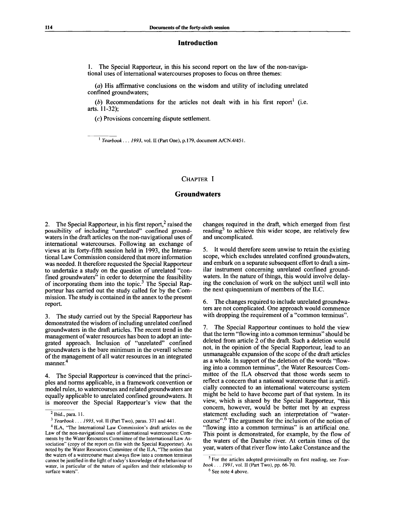# **Introduction**

1. The Special Rapporteur, in this his second report on the law of the non-navigational uses of international watercourses proposes to focus on three themes:

*(a)* His affirmative conclusions on the wisdom and utility of including unrelated confined groundwaters;

(b) Recommendations for the articles not dealt with in his first report<sup>1</sup> (i.e. arts. 11-32);

(c) Provisions concerning dispute settlement.

*Yearbook. . . 1993,* vol. II (Part One), p. 179, document A/CN.4/451.

# **CHAPTER I**

# **Groundwaters**

2. The Special Rapporteur, in his first report,<sup>2</sup> raised the possibility of including "unrelated" confined groundwaters in the draft articles on the non-navigational uses of international watercourses. Following an exchange of views at its forty-fifth session held in 1993, the International Law Commission considered that more information was needed. It therefore requested the Special Rapporteur to undertake a study on the question of unrelated "confined groundwaters<sup>"</sup> in order to determine the feasibility of incorporating them into the topic.<sup>3</sup> The Special Rapporteur has carried out the study called for by the Commission. The study is contained in the annex to the present report.

3. The study carried out by the Special Rapporteur has demonstrated the wisdom of including unrelated confined groundwaters in the draft articles. The recent trend in the management of water resources has been to adopt an integrated approach. Inclusion of "unrelated" confined groundwaters is the bare minimum in the overall scheme of the management of all water resources in an integrated manner.<sup>4</sup>

4. The Special Rapporteur is convinced that the principles and norms applicable, in a framework convention or model rules, to watercourses and related groundwaters are equally applicable to unrelated confined groundwaters. It is moreover the Special Rapporteur's view that the

changes required in the draft, which emerged from first reading<sup>5</sup> to achieve this wider scope, are relatively few and uncomplicated.

5. It would therefore seem unwise to retain the existing scope, which excludes unrelated confined groundwaters, and embark on a separate subsequent effort to draft a similar instrument concerning unrelated confined groundwaters. In the nature of things, this would involve delaying the conclusion of work on the subject until well into the next quinquennium of members of the ILC.

6. The changes required to include unrelated groundwaters are not complicated. One approach would commence with dropping the requirement of a "common terminus".

7. The Special Rapporteur continues to hold the view that the term "flowing into a common terminus" should be deleted from article 2 of the draft. Such a deletion would not, in the opinion of the Special Rapporteur, lead to an unmanageable expansion of the scope of the draft articles as a whole. In support of the deletion of the words "flowing into a common terminus", the Water Resources Committee of the ILA observed that those words seem to reflect a concern that a national watercourse that is artificially connected to an international watercourse system might be held to have become part of that system. In its view, which is shared by the Special Rapporteur, "this concern, however, would be better met by an express statement excluding such an interpretation of "watercourse".<sup>6</sup> The argument for the inclusion of the notion of "flowing into a common terminus" is an artificial one. This point is demonstrated, for example, by the flow of the waters of the Danube river. At certain times of the year, waters of that river flow into Lake Constance and the

<sup>&</sup>lt;sup>2</sup> Ibid., para. 11.

<sup>3</sup>  *Yearbook. . . 1993,* vol. II (Part Two), paras. 371 and 441.

<sup>&</sup>lt;sup>4</sup> ILA, "The International Law Commission's draft articles on the Law of the non-navigational uses of international watercourses: Comments by the Water Resources Committee of the International Law Association" (copy of the report on file with the Special Rapporteur). As noted by the Water Resources Committee of the ILA, "The notion that the waters of a watercourse must always flow into a common terminus cannot be justified in the light of today's knowledge of the behaviour of water, in particular of the nature of aquifers and their relationship to surface waters".

For the articles adopted provisionally on first reading, see *Yearbook . . . 1991,* vol. II (Part Two), pp. 66-70.

<sup>&</sup>lt;sup>6</sup> See note 4 above.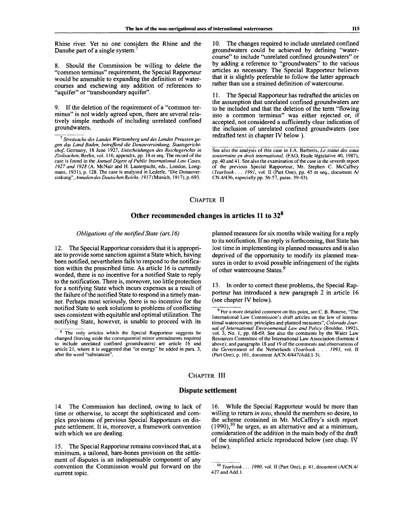Rhine river. Yet no one considers the Rhine and the Danube part of a single system.

8. Should the Commission be willing to delete the "common terminus" requirement, the Special Rapporteur would be amenable to expanding the definition of watercourses and eschewing any addition of references to "aquifer" or "transboundary aquifer".

9. If the deletion of the requirement of a "common terminus" is not widely agreed upon, there are several relatively simple methods of including unrelated confined groundwaters.

10. The changes required to include unrelated confined groundwaters could be achieved by defining "watercourse" to include "unrelated confined groundwaters" or by adding a reference to "groundwaters" to the various articles as necessary. The Special Rapporteur believes that it is slightly preferable to follow the latter approach rather than use a strained definition of watercourse.

11. The Special Rapporteur has redrafted the articles on the assumption that unrelated confined groundwaters are to be included and that the deletion of the term "flowing into a common terminus" was either rejected or, if accepted, not considered a sufficiently clear indication of the inclusion of unrelated confined groundwaters (see redrafted text in chapter IV below ).

# **CHAPTER II**

# **Other recommended changes in articles 11 to 32<sup>8</sup>**

*Obligations of the notified State (art. 16)*

12. The Special Rapporteur considers that it is appropriate to provide some sanction against a State which, having been notified, nevertheless fails to respond to the notification within the prescribed time. As article 16 is currently worded, there is no incentive for a notified State to reply to the notification. There is, moreover, too little protection for a notifying State which incurs expenses as a result of the failure of the notified State to respond in a timely manner. Perhaps most seriously, there is no incentive for the notified State to seek solutions to problems of conflicting uses consistent with equitable and optimal utilization. The notifying State, however, is unable to proceed with its planned measures for six months while waiting for a reply to its notification. If no reply is forthcoming, that State has lost time in implementing its planned measures and is also deprived of the opportunity to modify its planned measures in order to avoid possible infringement of the rights of other watercourse States.<sup>9</sup>

13. In order to correct these problems, the Special Rapporteur has introduced a new paragraph 2 in article 16 (see chapter IV below).

# **CHAPTER III**

# **Dispute settlement**

14. The Commission has declined, owing to lack of time or otherwise, to accept the sophisticated and complex provisions of previous Special Rapporteurs on dispute settlement. It is, moreover, a framework convention with which we are dealing.

15. The Special Rapporteur remains convinced that, at a minimum, a tailored, bare-bones provision on the settlement of disputes is an indispensable component of any convention the Commission would put forward on the current topic.

16. While the Special Rapporteur would be more than willing to return *in toto,* should the members so desire, to the scheme contained in Mr. McCaffrey's sixth report  $(1990)$ ,<sup>10</sup> he urges, as an alternative and at a minimum, consideration of the addition in the main body of the draft of the simplified article reproduced below (see chap. IV below).

<sup>&</sup>lt;sup>7</sup> Streitsache des Landes Württemberg und des Landes Preussen ge*gen das Land Baden, betreffend die Donauversinkung, Staatsgerichtshof,* Germany, 18 June 1927, *Entscheidungen des Reichsgerichts in Zivilsachen,* Berlin, vol. 116, appendix, pp. 18 et seq. The record of the case is found in the *Annual Digest of Public International Law Cases, 1927 and 1928* (A. McNair and H. Lauterpacht, eds., London, Longmans, 1931), p. 128. The case is analysed in Lederle, "Die Donauversinkung", *AnnalendesDeutschenReichs,* 7977(Munich, 1917),p.693.

See also the analysis of this case in J.A. Barberis, *Le statut des eaux souterrains en droit international,* (FAO, Etude legislative 40, 1987), pp. 40 and 41. See also the examination of the case in the seventh report of the previous Special Rapporteur, Mr. Stephen C. McCaffrey *{Jearbook. . . 1991,* vol. II (Part One), pp. 45 et seq., document A/ CN.4/436, especially pp. 56-57, paras. 39-43).

 $8$  The only articles which the Special Rapporteur suggests be changed (leaving aside the consequential minor amendments required to include unrelated confined groundwaters) are article 16 and article 21, where it is suggested that "or energy" be added in para. 3, after the word "substances".

 $9$  For a more detailed comment on this point, see C. B. Bourne, "The International Law Commission's draft articles on the law of international watercourses: principles and planned measures", *Colorado Journal of International Environmental Law and Policy* (Boulder, 1992), vol. 3, No. 1, pp. 68-69. See also the comments by the Water Law Resources Committee of the International Law Association (footnote 4 above); and paragraphs 18 and 19 of the comments and observations of the Government of the Netherlands (Yearbook . . (Part One), p. 161, document A/CN.4/447/Add.l-3).

<sup>10</sup>  *Yearbook. . . 1990,* vol. II (Part One), p. 41, document (A/CN.4/ 427 and Add. 1.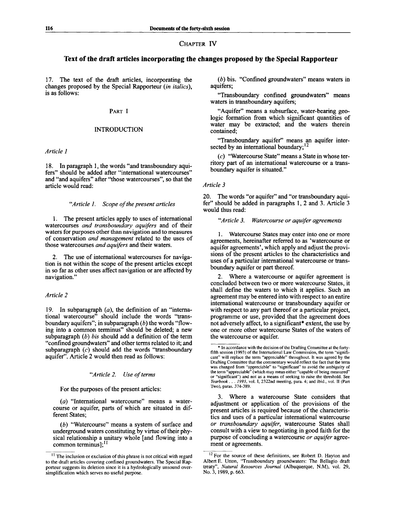# **CHAPTER IV**

# **Text of the draft articles incorporating the changes proposed by the Special Rapporteur**

17. The text of the draft articles, incorporating the changes proposed by the Special Rapporteur *(in italics),* is as follows:

# PART I

# INTRODUCTION

# *Article 1*

18. In paragraph 1, the words "and transboundary aquifers" should be added after "international watercourses" and "and aquifers" after "those watercourses", so that the article would read:

# *''''Article 1. Scope of the present articles*

1. The present articles apply to uses of international watercourses *and transboundary aquifers* and of their waters for purposes other than navigation and to measures of conservation *and management* related to the uses of those watercourses *and aquifers* and their waters.

The use of international watercourses for navigation is not within the scope of the present articles except in so far as other uses affect navigation or are affected by navigation."

### *Article 2*

19. In subparagraph *(a),* the definition of an "international watercourse" should include the words "transboundary aquifers"; in subparagraph *(b)* the words "flowing into a common terminus" should be deleted; a new subparagraph *(b) bis* should add a definition of the term "confined groundwaters" and other terms related to it; and subparagraph (c) should add the words "transboundary aquifer". Article 2 would then read as follows:

# *"Article 2. Use of terms*

For the purposes of the present articles:

*(a)* "International watercourse" means a watercourse or aquifer, parts of which are situated in different States;

*(b)* "Watercourse" means a system of surface and underground waters constituting by virtue of their physical relationship a unitary whole [and flowing into a common terminus];<sup>11</sup>

*(b)* bis. "Confined groundwaters" means waters in aquifers;

"Transboundary confined groundwaters" means waters in transboundary aquifers;

"Aquifer" means a subsurface, water-bearing geologic formation from which significant quantities of water may be extracted; and the waters therein contained;

"Transboundary aquifer" means an aquifer intersected by an international boundary; $^{12}$ 

*(c)* "Watercourse State" means a State in whose territory part of an international watercourse or a transboundary aquifer is situated."

# *Article 3*

20. The words "or aquifer" and "or transboundary aquifer" should be added in paragraphs 1, 2 and 3. Article 3 would thus read:

### *"Article 3. Watercourse or aquifer agreements*

1. Watercourse States may enter into one or more agreements, hereinafter referred to as 'watercourse or aquifer agreements', which apply and adjust the provisions of the present articles to the characteristics and uses of a particular international watercourse or transboundary aquifer or part thereof.

2. Where a watercourse or aquifer agreement is concluded between two or more watercourse States, it shall define the waters to which it applies. Such an agreement may be entered into with respect to an entire international watercourse or transboundary aquifer or with respect to any part thereof or a particular project, programme or use, provided that the agreement does not adversely affect, to a significant\* extent, the use by one or more other watercourse States of the waters of the watercourse or aquifer.

Where a watercourse State considers that adjustment or application of the provisions of the present articles is required because of the characteristics and uses of a particular international watercourse *or transboundary aquifer,* watercourse States shall consult with a view to negotiating in good faith for the purpose of concluding a watercourse *or aquifer* agreement or agreements.

<sup>&</sup>lt;sup>11</sup> The inclusion or exclusion of this phrase is not critical with regard to the draft articles covering confined groundwaters. The Special Rapporteur suggests its deletion since it is a hydrologically unsound oversimplification which serves no useful purpose.

<sup>\*</sup> In accordance with the decision of the Drafting Committee at the fortyfifth session (1993) of the International Law Commission, the term "significant" will replace the term "appreciable" throughout. It was agreed by the Drafting Committee that the commentary would reflect the fact that the term was changed from "appreciable" to "significant" to avoid the ambiguity of the term "appreciable" (which may mean either "capable of being measured" or "significant") and not as a means of seeking to raise the threshold. See *Yearbook . . . 1993,* vol. I, 2322nd meeting, para. 4; and ibid., vol. II (Part Two), paras. 374-389.

<sup>&</sup>lt;sup>12</sup> For the source of these definitions, see Robert D. Hayton and Albert E. Utton, "Transboundary groundwaters: The Bellagio draft treaty", *Natural Resources Journal* (Albuquerque, N.M), vol. 29, No. 3, 1989, p. 663.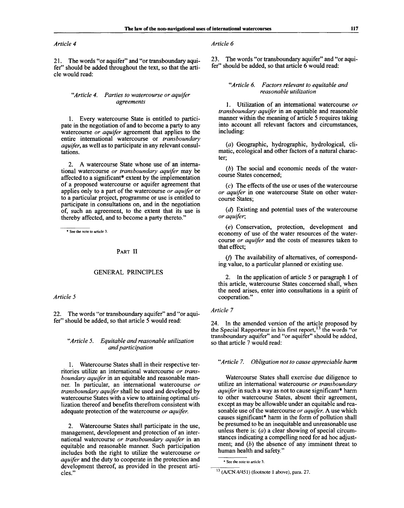# *Article 4 Article 6*

21. The words "or aquifer" and "or transboundary aquifer" should be added throughout the text, so that the article would read:

# *"Article 4. Parties to watercourse or aquifer agreements*

1. Every watercourse State is entitled to participate in the negotiation of and to become a party to any watercourse *or aquifer* agreement that applies to the entire international watercourse or *transboundary aquifer,* as well as to participate in any relevant consultations.

2. A watercourse State whose use of an international watercourse *or transboundary aquifer* may be affected to a significant\* extent by the implementation of a proposed watercourse or aquifer agreement that applies only to a part of the watercourse *or aquifer* or to a particular project, programme or use is entitled to participate in consultations on, and in the negotiation of, such an agreement, to the extent that its use is thereby affected, and to become a party thereto."

\* See the note to article 3.

# PART II

### GENERAL PRINCIPLES

*Article 5*

22. The words "or transboundary aquifer" and "or aquifer" should be added, so that article 5 would read:

# *""Article 5. Equitable and reasonable utilization and participation*

1. Watercourse States shall in their respective territories utilize an international watercourse *or transboundary aquifer* in an equitable and reasonable manner. In particular, an international watercourse *or transboundary aquifer* shall be used and developed by watercourse States with a view to attaining optimal utilization thereof and benefits therefrom consistent with adequate protection of the watercourse *or aquifer.*

*2.* Watercourse States shall participate in the use, management, development and protection of an international watercourse *or transboundary aquifer* in an equitable and reasonable manner. Such participation includes both the right to utilize the watercourse *or aquifer* and the duty to cooperate in the protection and development thereof, as provided in the present articles."

23. The words "or transboundary aquifer" and "or aquifer" should be added, so that article 6 would read:

# *"Article 6. Factors relevant to equitable and reasonable utilization*

1. Utilization of an international watercourse *or transboundary aquifer* in an equitable and reasonable manner within the meaning of article 5 requires taking into account all relevant factors and circumstances, including:

*(a)* Geographic, hydrographic, hydrological, climatic, ecological and other factors of a natural character;

*(b)* The social and economic needs of the watercourse States concerned;

(c) The effects of the use or uses of the watercourse *or aquifer* in one watercourse State on other watercourse States;

*(d)* Existing and potential uses of the watercourse *or aquifer;*

*(e)* Conservation, protection, development and economy of use of the water resources of the watercourse *or aquifer* and the costs of measures taken to that effect;

(/) The availability of alternatives, of corresponding value, to a particular planned or existing use.

2. In the application of article 5 or paragraph 1 of this article, watercourse States concerned shall, when the need arises, enter into consultations in a spirit of cooperation."

### *Article 7*

24. In the amended version of the article proposed by the Special Rapporteur in his first report,<sup>13</sup> the words "or transboundary aquifer" and "or aquifer" should be added, so that article 7 would read:

*"Article 7. Obligation not to cause appreciable harm*

Watercourse States shall exercise due diligence to utilize an international watercourse *or transboundary aquifer* in such a way as not to cause significant\* harm to other watercourse States, absent their agreement, except as may be allowable under an equitable and reasonable use of the watercourse *or aquifer.* A use which causes significant\* harm in the form of pollution shall be presumed to be an inequitable and unreasonable use unless there is: *(a)* a clear showing of special circumstances indicating a compelling need for ad hoc adjustment; and *(b)* the absence of any imminent threat to human health and safety."

<sup>\*</sup> See the note to article 3.

 $13$  (A/CN.4/451) (footnote 1 above), para. 27.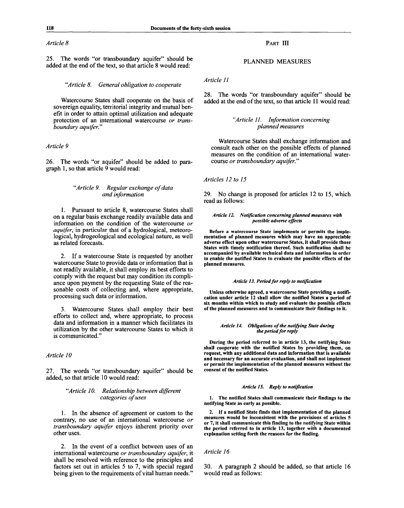# *Article 8* PART III

25. The words "or transboundary aquifer" should be added at the end of the text, so that article 8 would read:

# *"Article 8. General obligation to cooperate*

Watercourse States shall cooperate on the basis of sovereign equality, territorial integrity and mutual benefit in order to attain optimal utilization and adequate protection of an international watercourse *or transboundary aquifer.'<sup>1</sup>*

# *Article 9*

26. The words "or aquifer" should be added to paragraph 1, so that article  $\overline{9}$  would read:

# *"Article 9. Regular exchange of data and information*

1. Pursuant to article 8, watercourse States shall on a regular basis exchange readily available data and information on the condition of the watercourse *or aquifer,* in particular that of a hydrological, meteorological, hydrogeological and ecological nature, as well as related forecasts.

2. If a watercourse State is requested by another watercourse State to provide data or information that is not readily available, it shall employ its best efforts to comply with the request but may condition its compliance upon payment by the requesting State of the reasonable costs of collecting and, where appropriate, processing such data or information.

3. Watercourse States shall employ their best efforts to collect and, where appropriate, to process data and information in a manner which facilitates its utilization by the other watercourse States to which it is communicated."

# *Article 10*

27. The words "or transboundary aquifer" should be added, so that article 10 would read:

# *"Article 10. Relationship between different categories of uses*

1. In the absence of agreement or custom to the contrary, no use of an international watercourse *or transboundary aquifer* enjoys inherent priority over other uses.

2. In the event of a conflict between uses of an international watercourse *or transboundary aquifer,* it shall be resolved with reference to the principles and factors set out in articles 5 to 7, with special regard being given to the requirements of vital human needs."

# PLANNED MEASURES

*Article 11*

28. The words "or transboundary aquifer" should be added at the end of the text, so that article 11 would read:

> *"Article 11. Information concerning planned measures*

Watercourse States shall exchange information and consult each other on the possible effects of planned measures on the condition of an international watercourse *or transboundary aquifer."*

# *Articles 12 to 15*

29. No change is proposed for articles 12 to 15, which read as follows:

#### *Article 12. Notification concerning planned measures with possible adverse effects*

**Before a watercourse State implements or permits the implementation of planned measures which may have an appreciable adverse effect upon other watercourse States, it shall provide those States with timely notification thereof. Such notification shall be accompanied by available technical data and information in order to enable the notified States to evaluate the possible effects of the planned measures.**

### *Article 13. Period for reply to notification*

**Unless otherwise agreed, a watercourse State providing a notification under article 12 shall allow the notified States a period of six months within which to study and evaluate the possible effects of the planned measures and to communicate their findings to it.**

### *Article 14. Obligations of the notifying State during the period for reply*

**During the period referred to in article 13, the notifying State shall cooperate with the notified States by providing them, on request, with any additional data and information that is available and necessary for an accurate evaluation, and shall not implement or permit the implementation of the planned measures without the consent of the notified States.**

#### *Article 15. Reply to notification*

**1. The notified States shall communicate their findings to the notifying State as early as possible.**

**2. If a notified State finds that implementation of the planned measures would be inconsistent with the provisions of articles 5 or 7, it shall communicate this finding to the notifying State within the period referred to in article 13, together with a documented explanation setting forth the reasons for the finding.**

### *Article 16*

30. A paragraph 2 should be added, so that article 16 would read as follows: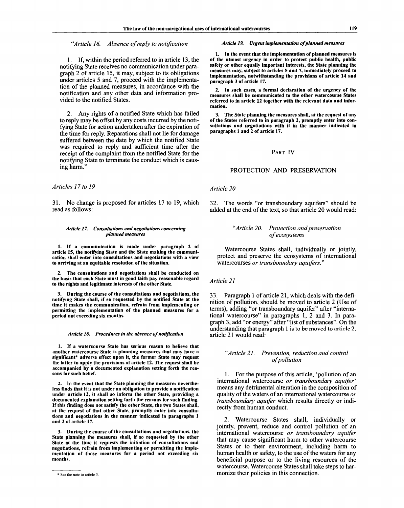### *"Article 16. Absence of reply to notification*

1. If, within the period referred to in article 13, the notifying State receives no communication under paragraph 2 of article 15, it may, subject to its obligations under articles 5 and 7, proceed with the implementation of the planned measures, in accordance with the notification and any other data and information provided to the notified States.

2. Any rights of a notified State which has failed to reply may be offset by any costs incurred by the notifying State for action undertaken after the expiration of the time for reply. Reparations shall not lie for damage suffered between the date by which the notified State was required to reply and sufficient time after the receipt of the complaint from the notified State for the notifying State to terminate the conduct which is causing harm.'

# *Articles 17 to 19 Article 20*

31. No change is proposed for articles 17 to 19, which read as follows:

### *Article 17. Consultations and negotiations concerning planned measures*

**1. If a communication is made under paragraph 2 of article 15, the notifying State and the State making the communication shall enter into consultations and negotiations with a view to arriving at an equitable resolution of the situation.**

**2. The consultations and negotiations shall be conducted on the basis that each State must in good faith pay reasonable regard to the rights and legitimate interests of the other State.**

**3. During the course of the consultations and negotiations, the notifying State shall, if so requested by the notified State at the time it makes the communication, refrain from implementing or permitting the implementation of the planned measures for a period not exceeding six months.**

#### *Article 18. Procedures in the absence of notification*

**1. If a watercourse State has serious reason to believe that another watercourse State is planning measures that may have a significant\* adverse effect upon it, the former State may request the latter to apply the provisions of article 12. The request shall be accompanied by a documented explanation setting forth the reasons for such belief.**

**2. In the event that the State planning the measures nevertheless finds that it is not under an obligation to provide a notification under article 12, it shall so inform the other State, providing a documented explanation setting forth the reasons for such finding. If this finding does not satisfy the other State, the two States shall, at the request of that other State, promptly enter into consultations and negotiations in the manner indicated in paragraphs 1 and 2 of article 17.**

**3. During the course of the consultations and negotiations, the State planning the measures shall, if so requested by the other State at the time it requests the initiation of consultations and negotiations, refrain from implementing or permitting the implementation of those measures for a period not exceeding six months.**

#### *Article 19. Urgent implementation of planned measures*

**1. In the event that the implementation of planned measures is of the utmost urgency in order to protect public health, public safety or other equally important interests, the State planning the measures may, subject to articles 5 and 7, immediately proceed to implementation, notwithstanding the provisions of article 14 and paragraph 3 of article 17.**

**2. In such cases, a formal declaration of the urgency of the measures shall be communicated to the other watercourse States referred to in article 12 together with the relevant data and information.**

**3. The State planning the measures shall, at the request of any of the States referred to in paragraph 2, promptly enter into consultations and negotiations with it in the manner indicated in paragraphs 1 and 2 of article 17.**

### PART IV

### PROTECTION AND PRESERVATION

32. The words "or transboundary aquifers" should be added at the end of the text, so that article 20 would read:

### *"Article 20. Protection and preservation of ecosystems*

Watercourse States shall, individually or jointly, protect and preserve the ecosystems of international watercourses *or transboundary aquifers."*

### *Article 21*

33. Paragraph 1 of article 21, which deals with the definition of pollution, should be moved to article 2 (Use of terms), adding "or transboundary aquifer" after "international watercourse" in paragraphs 1, 2 and 3. In paragraph 3, add "or energy" after "list of substances". On the understanding that paragraph 1 is to be moved to article 2, article 21 would read:

# *"Article 21. Prevention, reduction and control of pollution*

1. For the purpose of this article, 'pollution of an international watercourse *or transboundary aquifer'* means any detrimental alteration in the composition of quality of the waters of an international watercourse *or transboundary aquifer* which results directly or indirectly from human conduct.

Watercourse States shall, individually or jointly, prevent, reduce and control pollution of an international watercourse *or transboundary aquifer* that may cause significant harm to other watercourse States or to their environment, including harm to human health or safety, to the use of the waters for any beneficial purpose or to the living resources of the watercourse. Watercourse States shall take steps to harmonize their policies in this connection.

<sup>:</sup> See the note to article 3.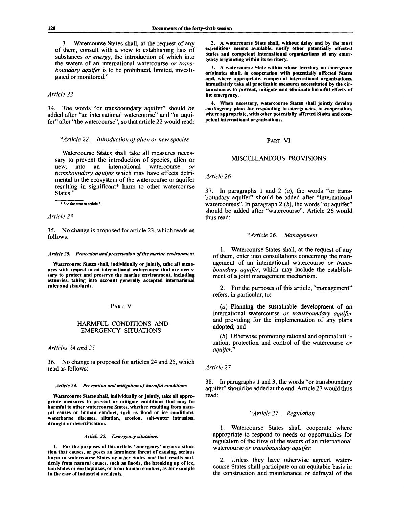3. Watercourse States shall, at the request of any of them, consult with a view to establishing lists of substances *or energy,* the introduction of which into the waters of an international watercourse *or transboundary aquifer* is to be prohibited, limited, investigated or monitored."

# *Article 22*

34. The words "or transboundary aquifer" should be added after "an international watercourse" and "or aquifer" after "the watercourse", so that article 22 would read:

# *"Article 22. Introduction of alien or new species*

Watercourse States shall take all measures necessary to prevent the introduction of species, alien or<br>new, into an international watercourse or new, into an international watercourse *or transboundary aquifer* which may have effects detrimental to the ecosystem of the watercourse or aquifer resulting in significant\* harm to other watercourse States."

\* See the note to article 3.

### *Article 23*

35. No change is proposed for article 23, which reads as follows:

#### *Article 23. Protection and preservation of the marine environment*

**Watercourse States shall, individually or jointly, take all measures with respect to an international watercourse that are necessary to protect and preserve the marine environment, including estuaries, taking into account generally accepted international rules and standards.**

### PART V

# HARMFUL CONDITIONS AND EMERGENCY SITUATIONS

*Articles 24 and 25*

36. No change is proposed for articles 24 and 25, which read as follows:

#### *Article 24. Prevention and mitigation of harmful conditions*

**Watercourse States shall, individually or jointly, take all appropriate measures to prevent or mitigate conditions that may be harmful to other watercourse States, whether resulting from natural causes or human conduct, such as flood or ice conditions, waterborne diseases, siltation, erosion, salt-water intrusion, drought or desertification.**

# *Article 25. Emergency situations*

**1. For the purposes of this article, 'emergency' means a situation that causes, or poses an imminent threat of causing, serious harm** *to* **watercourse States or other States and that results suddenly from natural causes, such as floods, the breaking up of ice, landslides or earthquakes, or from human conduct, as for example in the case of industrial accidents.**

**2. A watercourse State shall, without delay and by the most expeditious means available, notify other potentially affected States and competent international organizations of any emergency originating within its territory.**

**3. A watercourse State within whose territory an emergency originates shall, in cooperation with potentially affected States and, where appropriate, competent international organizations, immediately take all practicable measures necessitated by the circumstances to prevent, mitigate and eliminate harmful effects of the emergency.**

**4. When necessary, watercourse States shall jointly develop contingency plans for responding to emergencies, in cooperation, where appropriate, with other potentially affected States and competent international organizations.**

#### PART VI

### MISCELLANEOUS PROVISIONS

*Article 26*

37. In paragraphs 1 and 2 *(a),* the words "or transboundary aquifer" should be added after "international watercourses". In paragraph 2 *(b),* the words "or aquifer" should be added after "watercourse". Article 26 would thus read:

# *"Article 26. Management*

1. Watercourse States shall, at the request of any of them, enter into consultations concerning the management of an international watercourse *or transboundary aquifer,* which may include the establishment of a joint management mechanism.

2. For the purposes of this article, "management" refers, in particular, to:

*(a)* Planning the sustainable development of an international watercourse *or transboundary aquifer* and providing for the implementation of any plans adopted; and

*(b)* Otherwise promoting rational and optimal utilization, protection and control of the watercourse *or aquifer."*

### *Article 27*

38. In paragraphs 1 and 3, the words "or transboundary aquifer" should be added at the end. Article 27 would thus read:

# *"Article 27. Regulation*

1. Watercourse States shall cooperate where appropriate to respond to needs or opportunities for regulation of the flow of the waters of an international watercourse *or transboundary aquifer.*

2. Unless they have otherwise agreed, watercourse States shall participate on an equitable basis in the construction and maintenance or defrayal of the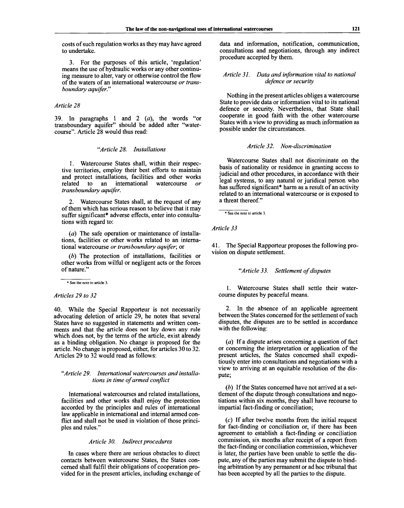costs of such regulation works as they may have agreed to undertake.

3. For the purposes of this article, 'regulation' means the use of hydraulic works or any other continuing measure to alter, vary or otherwise control the flow of the waters of an international watercourse *or transboundary aquifer."*

# *Article 28*

39. In paragraphs 1 and 2 *(a),* the words "or transboundary aquifer" should be added after "watercourse". Article 28 would thus read:

### *"Article 28. Installations*

1. Watercourse States shall, within their respective territories, employ their best efforts to maintain and protect installations, facilities and other works related to an international watercourse *or transboundary aquifer.*

*2.* Watercourse States shall, at the request of any of them which has serious reason to believe that it may suffer significant\* adverse effects, enter into consultations with regard to:

*(a)* The safe operation or maintenance of installations, facilities or other works related to an international watercourse *or transboundary aquifer;* or

*(b)* The protection of installations, facilities or other works from wilful or negligent acts or the forces of nature."

\* See the note to article 3.

# *Articles 29 to 32*

40. While the Special Rapporteur is not necessarily advocating deletion of article 29, he notes that several States have so suggested in statements and written comments and that the article does not lay down any rule which does not, by the terms of the article, exist already as a binding obligation. No change is proposed for the article. No change is proposed, either, for articles 30 to 32. Articles 29 to 32 would read as follows:

### *"Article 29. International watercourses and installations in time of armed conflict*

International watercourses and related installations, facilities and other works shall enjoy the protection accorded by the principles and rules of international law applicable in international and internal armed conflict and shall not be used in violation of those principles and rules."

#### *Article 30. Indirect procedures*

In cases where there are serious obstacles to direct contacts between watercourse States, the States concerned shall fulfil their obligations of cooperation provided for in the present articles, including exchange of data and information, notification, communication, consultations and negotiations, through any indirect procedure accepted by them.

### *Article 31. Data and information vital to national defence or security*

Nothing in the present articles obliges a watercourse State to provide data or information vital to its national defence or security. Nevertheless, that State shall cooperate in good faith with the other watercourse States with a view to providing as much information as possible under the circumstances.

# *Article 32. Non-discrimination*

Watercourse States shall not discriminate on the basis of nationality or residence in granting access to judicial and other procedures, in accordance with their legal systems, to any natural or juridical person who has suffered significant\* harm as a result of an activity related to an international watercourse or is exposed to a threat thereof."

\* See the note to article 3.

*Article 33*

41. The Special Rapporteur proposes the following provision on dispute settlement.

### *"Article 33. Settlement of disputes*

1. Watercourse States shall settle their watercourse disputes by peaceful means.

2. In the absence of an applicable agreement between the States concerned for the settlement of such disputes, the disputes are to be settled in accordance with the following:

*(a)* If a dispute arises concerning a question of fact or concerning the interpretation or application of the present articles, the States concerned shall expeditiously enter into consultations and negotiations with a view to arriving at an equitable resolution of the dispute;

*(b)* If the States concerned have not arrived at a settlement of the dispute through consultations and negotiations within six months, they shall have recourse to impartial fact-finding or conciliation;

(c) If after twelve months from the initial request for fact-finding or conciliation or, if there has been agreement to establish a fact-finding or conciliation commission, six months after receipt of a report from the fact-finding or conciliation commission, whichever is later, the parties have been unable to settle the dispute, any of the parties may submit the dispute to binding arbitration by any permanent or ad hoc tribunal that has been accepted by all the parties to the dispute.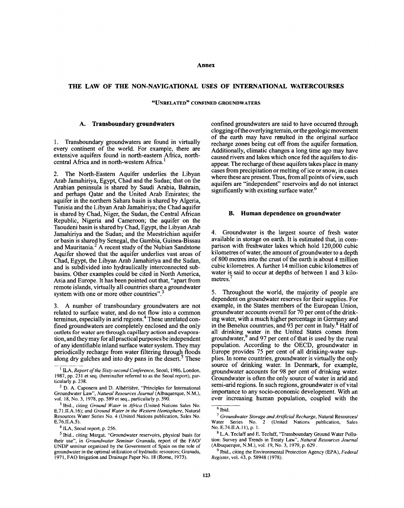### Annex

# THE LAW OF THE NON-NAVIGATIONAL USES OF INTERNATIONAL WATERCOURSES

"UNRELATED" CONFINED GROUNDWATERS

# A. Transboundary groundwaters

1. Transboundary groundwaters are found in virtually every continent of the world. For example, there are extensive aquifers found in north-eastern Africa, northcentral Africa and in north-western Africa.<sup>1</sup>

2. The North-Eastern Aquifer underlies the Libyan Arab Jamahiriya, Egypt, Chad and the Sudan; that on the Arabian peninsula is shared by Saudi Arabia, Bahrain, and perhaps Qatar and the United Arab Emirates; the aquifer in the northern Sahara basin is shared by Algeria, Tunisia and the Libyan Arab Jamahiriya; the Chad aquifer is shared by Chad, Niger, the Sudan, the Central African Republic, Nigeria and Cameroon; the aquifer on the Taoudeni basin is shared by Chad, Egypt, the Libyan Arab Jamahiriya and the Sudan; and the Maestrichian aquifer or basin is shared by Senegal, the Gambia, Guinea-Bissau and Mauritania. $2A$  recent study of the Nubian Sandstone Aquifer showed that the aquifer underlies vast areas of Chad, Egypt, the Libyan Arab Jamahiriya and the Sudan, and is subdivided into hydraulically interconnected subbasins. Other examples could be cited in North America, Asia and Europe. It has been pointed out that, "apart from remote islands, virtually all countries share a groundwater system with one or more other countries".<sup>3</sup>

3. A number of transboundary groundwaters are not related to surface water, and do not flow into a common terminus, especially in arid regions.<sup>4</sup> These unrelated confined groundwaters are completely enclosed and the only outlets for water are through capillary action and evaporation, and they may for all practical purposes be independent of any identifiable inland surface water system. They may periodically recharge from water filtering through floods along dry gulches and into dry pans in the desert.<sup>5</sup> These

confined groundwaters are said to have occurred through clogging of the overlying terrain, orthe geologic movement of the earth may have resulted in the original surface recharge zones being cut off from the aquifer formation. Additionally, climatic changes a long time ago may have caused rivers and lakes which once fed the aquifers to disappear. The recharge of these aquifers takes place in many cases from precipitation or melting of ice or snow, in cases where these are present. Thus, from all points of view, such aquifers are "independent" reservoirs and do not interact significantly with existing surface water.<sup>6</sup>

### **B. Human dependence on groundwater**

4. Groundwater is the largest source of fresh water available in storage on earth. It is estimated that, in comparison with freshwater lakes which hold 120,000 cubic kilometres of water, the amount of groundwater to a depth of 800 metres into the crust of the earth is about 4 million cubic kilometres. A further 14 million cubic kilometres of water is said to occur at depths of between 1 and 3 kilometres.

5. Throughout the world, the majority of people are dependent on groundwater reserves for their supplies. For example, in the States members of the European Union, groundwater accounts overall for 70 per cent of the drinking water, with a much higher percentage in Germany and in the Benelux countries, and  $93$  per cent in Italy.<sup>8</sup> Half of all drinking water in the United States comes from groundwater,<sup>9</sup> and 97 per cent of that is used by the rural population. According to the OECD, groundwater in Europe provides 75 per cent of all drinking-water supplies. In some countries, groundwater is virtually the only source of drinking water. In Denmark, for example, groundwater accounts for 98 per cent of drinking water. Groundwater is often the only source of water in arid and semi-arid regions. In such regions, groundwater is of vital importance to any socio-economic development. With an ever increasing human population, coupled with the

<sup>1</sup> ILA, *Report of the Sixty-second Conference,* Seoul, 1986, London, 1987, pp. 231 et seq. (hereinafter referred to as the Seoul report), particularly p. 238.

 $2$  D. A. Caponera and D. Alhéritière, "Principles for International Groundwater Law", *Natural Resources Journal* (Albuquerque, N.M.), vol. 18, No. 3, 1978, pp. 589 et seq., particularly p. 590.

<sup>3</sup> Ibid., citing *Ground Water in Africa* (United Nations Sales No. E.71.II.A. 16); and *Ground Water in the Western Hemisphere,* Natural Resources Water Series No. 4 (United Nations publication, Sales No. E.76.II.A.5).

<sup>&</sup>lt;sup>4</sup> ILA, Seoul report, p. 256.

<sup>&</sup>lt;sup>5</sup> Ibid., citing Margat, "Groundwater reservoirs, physical basis for their use", in *Groundwater Seminar Granada,* report of the FAO/ UNDP seminar organized by the Government of Spain on the role of groundwater in the optimal utilization of hydraulic resources; Granada, 1971, FAO Irrigation and Drainage Paper No. 18 (Rome, 1973).

<sup>6</sup> Ibid.

<sup>7</sup>  *Groundwater Storage and Artificial Recharge,* Natural Resources/ Water Series No. 2 (United Nations publication, Sales No. E.74.II.A.11), p. 1.

<sup>&</sup>lt;sup>8</sup> L.A. Teclaff and E. Teclaff, "Transboundary Ground Water Pollution: Survey and Trends in Treaty Law", *Natural Resources Journal* (Albuquerque, N.M.), vol. 19, No. 3, 1979, p. 629 .

<sup>9</sup> Ibid., citing the Environmental Protection Agency (EPA), *Federal Register,* vol. 43, p. 58948 (1978).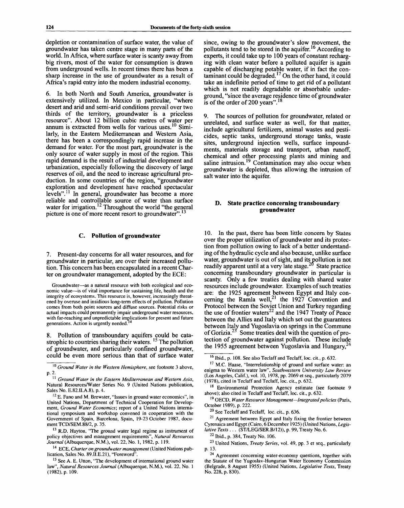depletion or contamination of surface water, the value of groundwater has taken centre stage in many parts of the world. In Africa, where surface water is scanty away from big rivers, most of the water for consumption is drawn from underground wells. In recent times there has been a sharp increase in the use of groundwater as a result of Africa's rapid entry into the modern industrial economy.

6. In both North and South America, groundwater is extensively utilized. In Mexico in particular, "where desert and arid and semi-arid conditions prevail over two thirds of the territory, groundwater is a priceless resource". About 12 billion cubic metres of water per annum is extracted from wells for various uses.<sup>10</sup> Similarly, in the Eastern Mediterranean and Western Asia, there has been a correspondingly rapid increase in the demand for water. For the most part, groundwater is the only source of water supply in most of the region. This rapid demand is the result of industrial development and urbanization, especially following the discovery of large reserves of oil, and the need to increase agricultural production. In some countries of the region, "groundwater exploration and development have reached spectacular levels".<sup>11</sup> In general, groundwater has become a more reliable and controllable source of water than surface water for irrigation.<sup>12</sup> Throughout the world "the general picture is one of more recent resort to groundwater".<sup>13</sup>

# **C. Pollution of groundwater**

7. Present-day concerns for all water resources, and for groundwater in particular, are over their increased pollution. This concern has been encapsulated in a recent Charter on groundwater management, adopted by the ECE:

Groundwater—as a natural resource with both ecological and economic value—is of vital importance for sustaining life, health and the integrity of ecosystems. This resource is, however, increasingly threatened by overuse and insidious long-term effects of pollution. Pollution comes from both point sources and diffuse sources. Potential risks or actual impacts could permanently impair underground water resources, with far-reaching and unpredictable implications for present and future generations. Action is urgently needed.

8. Pollution of transboundary aquifers could be catastrophic to countries sharing their waters.<sup>15</sup> The pollution of groundwater, and particularly confined groundwater, could be even more serious than that of surface water

 $12$  E. Fano and M. Brewster, "Issues in ground water economics", in United Nations, Department of Technical Cooperation for Development, *Ground Water Economics;* report of a United Nations international symposium and workshop convened in cooperation with the Government of Spain, Barcelona, Spain, 19-23 October 1987, document TCD/SEM.88/2, p. 35.

<sup>13</sup> R.D. Hayton, "The ground water legal regime as instrument of policy objectives and management requirements", *Natural Resources Journal* (Albuquerque, N.M.), vol. 22, No. 1, 1982, p. 119.

14 ECE, *Charter on groundwater management* (United Nations publication, Sales No. 89.II.E.21), "Foreword".

<sup>15</sup> See A. E. Utton, "The development of international ground water law", *Natural Resources Journal* (Albuquerque, N.M.), vol. 22, No. 1 (1982), p. 109.

since, owing to the groundwater's slow movement, the pollutants tend to be stored in the aquifer.<sup>16</sup> According to experts, it could take up to 100 years of constant recharging with clean water before a polluted aquifer is again capable of discharging potable water, if in fact the con $t_{\text{aminant could be degraded}}$ .<sup>17</sup> On the other hand, it could take an indefinite period of time to get rid of a pollutant which is not readily degradable or absorbable underground, "since the average residence time of groundwater is of the order of 200 years".<sup>1</sup>

9. The sources of pollution for groundwater, related or unrelated, and surface water as well, for that matter, include agricultural fertilizers, animal wastes and pesticides, septic tanks, underground storage tanks, waste sites, underground injection wells, surface impoundments, materials storage and transport, urban runoff, chemical and other processing plants and mining and saline intrusion.<sup>19</sup> Contamination may also occur when groundwater is depleted, thus allowing the intrusion of salt water into the aquifer.

# **D. State practice concerning transboundary groundwater**

10. In the past, there has been little concern by States over the proper utilization of groundwater and its protection from pollution owing to lack of a better understanding of the hydraulic cycle and also because, unlike surface water, groundwater is out of sight, and its pollution is not readily apparent until at a very late stage.<sup>20</sup> State practice concerning transboundary groundwater in particular is scanty. Only a few treaties dealing with shared water resources include groundwater. Examples of such treaties are: the 1925 agreement between Egypt and Italy concerning the Ramla well, $^{21}$  the 1927 Convention and Protocol between the Soviet Union and Turkey regarding the use of frontier waters<sup>22</sup> and the 1947 Treaty of Peace between the Allies and Italy which set out the guarantees between Italy and Yugoslavia on springs in the Commune of Gorizia. $2<sup>3</sup>$  Some treaties deal with the question of protection of groundwater against pollution. These include the 1955 agreement between Yugoslavia and Hungary,<sup>2</sup>

<sup>18</sup> Environmental Protection Agency estimate (see footnote 9 above); also cited in Teclaff and Teclaff, loc. cit., p. 632.

19 OECD, *Water Resource Management*—*Integrated policies* (Paris, October 1989), p. 222.

 $^{20}$  See Teclaff and Teclaff, loc. cit., p. 636.

<sup>21</sup> Agreement between Egypt and Italy fixing the frontier between Cyrenaica and Egypt (Cairo, 6 December 1925) (United Nations, *Legislative Texts . .* . (ST/LEG/SER.B/12)), p. 99, Treaty No. 6.

<sup>22</sup> Ibid., p. 384, Treaty No. 106.

<sup>23</sup> United Nations, *Treaty Series*, vol. 49, pp. 3 et seq., particularly p. 13.

<sup>&</sup>lt;sup>10</sup> Ground Water in the Western Hemisphere, see footnote 3 above, p. 2.

<sup>1</sup> ' *Ground Water in the Eastern Mediterranean and Western Asia,* Natural Resources/Water Series No. 9 (United Nations publication, Sales No. E.82.II.A.8), p. 4.

<sup>16</sup> Ibid., p. 108. See also Teclaff and Teclaff, loc. cit., p. 632.

 $17$  M.C. Haase, "Interrelationship of ground and surface water: an enigma to Western water law", *Southwestern University Law Review* (Los Angeles, Calif.), vol. 10, 1978, pp. 2069 et seq., particularly 2079 (1978), cited in Teclaff and Teclaff, loc. cit., p. 632.

<sup>&</sup>lt;sup>24</sup> Agreement concerning water-economy questions, together with the Statute of the Yugoslav-Hungarian Water Economy Commission (Belgrade, 8 August 1955) (United Nations, *Legislative Texts,* Treaty No. 228, p. 830).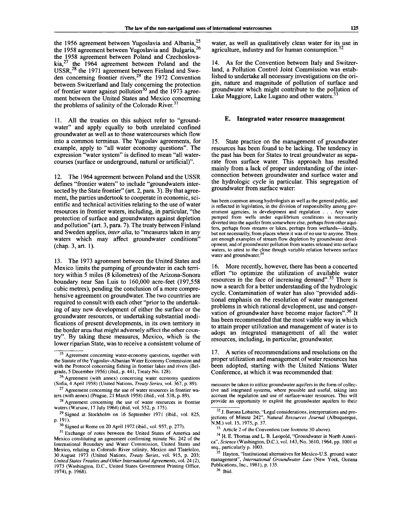the 1956 agreement between Yugoslavia and Albania,<sup>25</sup> the 1958 agreement between Yugoslavia and Bulgaria,<sup>26</sup> the 1958 agreement between Poland and Czechoslova $kia, <sup>27</sup>$  the 1964 agreement between Poland and the  $USSR$ ,<sup>28</sup> the 1971 agreement between Finland and Sweden concerning frontier rivers,<sup>29</sup> the 1972 Convention between Switzerland and Italy concerning the protection of frontier water against pollution<sup>30</sup> and the 1973 agreement between the United States and Mexico concerning the problems of salinity of the Colorado River.<sup>31</sup>

11. All the treaties on this subject refer to "groundwater" and apply equally to both unrelated confined groundwater as well as to those watercourses which flow into a common terminus. The Yugoslav agreements, for example, apply to "all water economy questions". The expression "water system" is defined to mean "all watercourses (surface or underground, natural or artificial)".

12. The 1964 agreement between Poland and the USSR defines "frontier waters" to include "groundwaters intersected by the State frontier" (art. 2, para. 3). By that agreement, the parties undertook to cooperate in economic, scientific and technical activities relating to the use of water resources in frontier waters, including, in particular, "the protection of surface and groundwaters against depletion and pollution" (art. 3, para. 7). The treaty between Finland and Sweden applies, *inter alia,* to "measures taken in any waters which may affect groundwater conditions" (chap. 3, art. 1).

13. The 1973 agreement between the United States and Mexico limits the pumping of groundwater in each territory within 5 miles (8 kilometres) of the Arizona-Sonora boundary near San Luis to 160,000 acre-feet (197,558 cubic metres), pending the conclusion of a more comprehensive agreement on groundwater. The two countries are required to consult with each other "prior to the undertaking of any new development of either the surface or the groundwater resources, or undertaking substantial modifications of present developments, in its own territory in the border area that might adversely affect the other country". By taking these measures, Mexico, which is the lower riparian State, was to receive a consistent volume of water, as well as qualitatively clean water for its use in agriculture, industry and for human consumption. $32$ 

14. As for the Convention between Italy and Switzerland, a Pollution Control Joint Commission was established to undertake all necessary investigations on the origin, nature and magnitude of pollution of surface and groundwater which might contribute to the pollution of Lake Maggiore, Lake Lugano and other waters.<sup>33</sup>

# E. **Integrated water resource management**

15. State practice on the management of groundwater resources has been found to be lacking. The tendency in the past has been for States to treat groundwater as separate from surface water. This approach has resulted mainly from a lack of proper understanding of the interconnection between groundwater and surface water and the hydrologic cycle in particular. This segregation of groundwater from surface water:

has been common among hydrologists as well as the general public, and is reflected in legislation, in the division of responsibility among government agencies, in development and regulation . . . Any water pumped from wells under equilibrium conditions is necessarily diverted into the aquifer from somewhere else, perhaps from other aquifers, perhaps from streams or lakes, perhaps from wetlands—ideally, but not necessarily, from places where it was of no use to anyone. There are enough examples of stream flow depletion by groundwater development, and of groundwater pollution from wastes released into surface waters, to attest to the close though variable relation between surface water and groundwater.<sup>3</sup>

16. More recently, however, there has been a concerted effort "to optimize the utilization of available water resources in the face of increasing demand".<sup>35</sup> There is now a search for a better understanding of the hydrologic cycle. Contamination of water has also "provided additional emphasis on the resolution of water management problems in which rational development, use and conservation of groundwater have become major factors".<sup>36</sup> It has been recommended that the most viable way in which to attain proper utilization and management of water is to adopt an integrated management of all the water resources, including, in particular, groundwater.

17. A series of recommendations and resolutions on the proper utilization and management of water resources has been adopted, starting with the United Nations Water Conference, at which it was recommended that:

measures be taken to utilize groundwater aquifers in the form of collective and integrated systems, where possible and useful, taking into account the regulation and use of surface-water resources. This will provide an opportunity to exploit the groundwater aquifers to their

<sup>&</sup>lt;sup>25</sup> Agreement concerning water-economy questions, together with the Statute of the Yugoslav-Albanian Water Economy Commission and with the Protocol concerning fishing in frontier lakes and rivers (Belgrade, 5 December 1956) (ibid., p. 441 , Treaty No. 128).

<sup>&</sup>lt;sup>26</sup> Agreement (with annex) concerning water economy questions (Sofia, 4 April 1958) (United Nations, *Treaty Series,* vol. 367, p. 89).

<sup>&</sup>lt;sup>27</sup> Agreement concerning the use of water resources in frontier waters (with annex) (Prague, 21 March 1958) (ibid., vol. 538, p. 89).

<sup>&</sup>lt;sup>28</sup> Agreement concerning the use of water resources in frontier waters (Warsaw, 17 July 1964) (ibid, vol. 552, p. 175).

<sup>&</sup>lt;sup>29</sup> Signed at Stockholm on 16 September 1971 (ibid., vol. 825, p. 191).

 $30$  Signed at Rome on 20 April 1972 (ibid., vol. 957, p. 277).

<sup>&</sup>lt;sup>31</sup> Exchange of notes between the United States of America and Mexico constituting an agreement confirming minute No. 242 of the International Boundary and Water Commission, United States and Mexico, relating to Colorado River salinity, Mexico and Tlatelolco, 30 August 1973 (United Nations, *Treaty Series,* vol. 915, p. 203; *United States Treaties and Other International Agreements,* vol. 24 (2), 1973 (Washington, D.C., United States Government Printing Office, 1974), p. 1968).

<sup>&</sup>lt;sup>32</sup> J. Barona Lobaoto, "Legal considerations, interpretations and projections of Minute 242", *Natural Resources Journal* (Albuquerque, N.M.) vol. 15, 1975, p. 37.

 $33$  Article 2 of the Convention (see footnote 30 above).

<sup>&</sup>lt;sup>34</sup> H. E. Thomas and L. B. Leopold, "Groundwater in North America", *Science* (Washington, D.C.), vol. 143, No . 3610, 1964, pp. 1001 et seq., particularly p. 1003.<br> $\frac{35}{11}$ 

<sup>&</sup>lt;sup>35</sup> Hayton, "Institutional alternatives for Mexico-U.S. ground water management", *International Groundwater Law* (New York, Oceana Publications, Inc., 1981), p. 135.

 $36$  Ibid.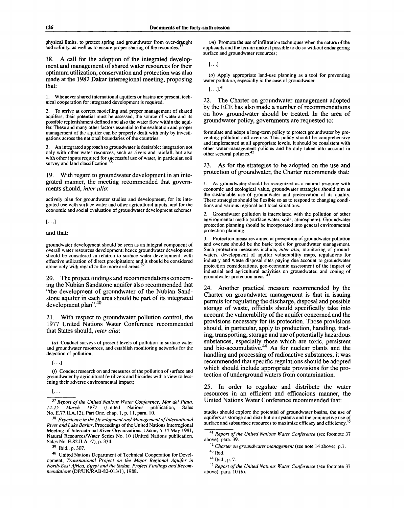physical limits, to protect spring and groundwater from over-draught and salinity, as well as to ensure proper sharing of the resources.<sup>3</sup>

18. A call for the adoption of the integrated development and management of shared water resources for their optimum utilization, conservation and protection was also made at the 1982 Dakar interregional meeting, proposing that:

1. Whenever shared international aquifers or basins are present, technical cooperation for integrated development is required.

2. To arrive at correct modelling and proper management of shared aquifers, their potential must be assessed, the source of water and its possible replenishment defined and also the water flow within the aquifer. These and many other factors essential to the evaluation and proper management of the aquifer can be properly dealt with only by investigations across the national boundaries of the countries.

An integrated approach to groundwater is desirable: integration not only with other water resources, such as rivers and rainfall, but also with other inputs required for successful use of water, in particular, soil survey and land classification.<sup>3</sup>

19. With regard to groundwater development in an integrated manner, the meeting recommended that governments should, *inter alia:*

actively plan for groundwater studies and development, for its integrated use with surface water and other agricultural inputs, and for the economic and social evaluation of groundwater development schemes

 $[\ldots]$ 

and that:

groundwater development should be seen as an integral component of overall water resources development; hence groundwater development should be considered in relation to surface water development, with effective utilization of direct precipitation; and it should be considered alone only with regard to the more arid areas.<sup>39</sup>

20. The project findings and recommendations concerning the Nubian Sandstone aquifer also recommended that "the development of groundwater of the Nubian Sandstone aquifer in each area should be part of its integrated development plan".<sup>40</sup>

21. With respect to groundwater pollution control, the 1977 United Nations Water Conference recommended that States should, *inter alia:*

*(a)* Conduct surveys of present levels of pollution in surface water and groundwater resources, and establish monitoring networks for the detection of pollution;

 $\mathbf{L}$ 

(/) Conduct research on and measures of the pollution of surface and groundwater by agricultural fertilizers and biocides with a view to lessening their adverse environmental impact;

<sup>37</sup> Report of the United Nations Water Conference, Mar del Plata, *14-25 March 1977* (United Nations publication, Sales No. E.77.II.A.12), Part One, chap. 1, p. 11, para. 10.

3  *Experience in the Development and Management of International River and Lake Basins,* Proceedings of the United Nations Interregional Meeting of International River Organizations, Dakar, 5-14 May 1981, Natural Resources/Water Series No. 10 (United Nations publication, Sales No. E.82.II.A.17), p. 334.

<sup>39</sup> Ibid., p. 307.

<sup>40</sup> United Nations Department of Technical Cooperation for Development, *Transnational Project on the Major Regional Aquifer in North-East Africa, Egypt and the Sudan, Project Findings and Recommendations* (DP/UN/RAB-82-013/1), 1988.

 $(m)$  Promote the use of infiltration techniques when the nature of the applicants and the terrain make it possible to do so without endangering surface and groundwater resources;

 $\left[\ldots\right]$ 

(o) Apply appropriate land-use planning as a tool for preventing water pollution, especially in the case of groundwater.

 $[...]^{41}$ 

22. The Charter on groundwater management adopted by the ECE has also made a number of recommendations on how groundwater should be treated. In the area of groundwater policy, governments are requested to:

formulate and adopt a long-term policy to protect groundwater by preventing pollution and overuse. This policy should be comprehensive and implemented at all appropriate levels. It should be consistent with other water-management policies and be duly taken into account in other sectoral policies.<sup>4</sup>

23. As for the strategies to be adopted on the use and protection of groundwater, the Charter recommends that:

1. As groundwater should be recognized as a natural resource with economic and ecological value, groundwater strategies should aim at the sustainable use of groundwater and preservation of its quality. These strategies should be flexible so as to respond to changing conditions and various regional and local situations.

2. Groundwater pollution is interrelated with the pollution of other environmental media (surface water, soils, atmosphere). Groundwater protection planning should be incorporated into general environmental protection planning.

3. Protection measures aimed at prevention of groundwater pollution and overuse should be the basic tools for groundwater management. Such protection measures include, *inter alia,* monitoring of groundwaters, development of aquifer vulnerability maps, regulations for industry and waste disposal sites paying due account to groundwater protection considerations, geo-economic assessment of the impact of industrial and agricultural activities on groundwater, and zoning of groundwater protection areas.<sup>43</sup>

24. Another practical measure recommended by the Charter on groundwater management is that in issuing permits for regulating the discharge, disposal and possible storage of waste, officials should specifically take into account the vulnerability of the aquifer concerned and the provisions necessary for its protection. Those provisions should, in particular, apply to production, handling, trading, transporting, storage and use of potentially hazardous substances, especially those which are toxic, persistent and bio-accumulative.<sup>44</sup> As for nuclear plants and the handling and processing of radioactive substances, it was recommended that specific regulations should be adopted which should include appropriate provisions for the protection of underground waters from contamination.

25. In order to regulate and distribute the water resources in an efficient and efficacious manner, the United Nations Water Conference recommended that:

studies should explore the potential of groundwater basins, the use of aquifers as storage and distribution systems and the conjunctive use of aquifers as storage and distribution systems and the conjunctive use of surface and subsurface resources to maximize efficacy and efficiency.

 $[. \, . \, .$ 

<sup>41</sup>  *Report of the United Nations Water Conference* (see footnote 37 above), para. 39.

**<sup>42</sup>** *Charter on groundwater management* (see note 14 above), p.l.

 $43$  Ibid.

<sup>&</sup>lt;sup>44</sup> Ibid., p. 7.

*Report of the United Nations Water Conference* (see footnote 37 above), para. 10 *(b).*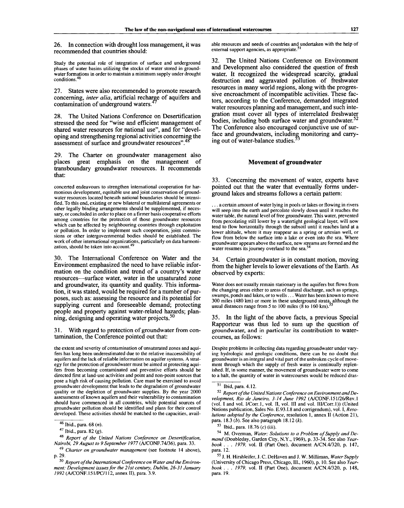26. In connection with drought loss management, it was recommended that countries should:

Study the potential role of integration of surface and underground phases of water basins utilizing the stocks of water stored in groundwater formations in order to maintain a minimum supply under drought conditions.

27. States were also recommended to promote research concerning, *inter alia,* artificial recharge of aquifers and contamination of underground waters.

28. The United Nations Conference on Desertification stressed the need for "wise and efficient management of shared water resources for national use", and for "developing and strengthening regional activities concerning the assessment of surface and groundwater resources".

29. The Charter on groundwater management also places great emphasis on the management of transboundary groundwater resources. It recommends that:

concerted endeavours to strengthen international cooperation for harmonious development, equitable use and joint conservation of groundwater resources located beneath national boundaries should be intensified. To this end, existing or new bilateral or multilateral agreements or other legally binding arrangements should be supplemented, if necessary, or concluded in order to place on a firmer basis cooperative efforts among countries for the protection of those groundwater resources which can be affected by neighbouring countries through exploitation or pollution. In order to implement such cooperation, joint commissions or other intergovernmental bodies should be established. The work of other international organizations, particularly on data harmoni-zation, should be taken into account.<sup>49</sup>

30. The International Conference on Water and the Environment emphasized the need to have reliable information on the condition and trend of a country's water resources—surface water, water in the unsaturated zone and groundwater, its quantity and quality. This information, it was stated, would be required for a number of purposes, such as: assessing the resource and its potential for supplying current and foreseeable demand; protecting people and property against water-related hazards; planning, designing and operating water projects.<sup>50</sup>

31. With regard to protection of groundwater from contamination, the Conference pointed out that:

the extent and severity of contamination of unsaturated zones and aquifers has long been underestimated due to the relative inaccessibility of aquifers and the lack of reliable information on aquifer systems. A strategy for the protection of groundwater must be aimed at protecting aquifers from becoming contaminated and preventive efforts should be directed first at land-use activities and point and non-point sources that pose a high risk of causing pollution. Care must be exercised to avoid groundwater development that leads to the degradation of groundwater quality or the depletion of groundwater supplies. By the year 2000 assessments of known aquifers and their vulnerability to contamination should have commenced in all countries, while potential sources of groundwater pollution should be identified and plans for their control developed. These activities should be matched to the capacities, available resources and needs of countries and undertaken with the help of external support agencies, as appropriate.<sup>5</sup>

32. The United Nations Conference on Environment and Development also considered the question of fresh water. It recognized the widespread scarcity, gradual destruction and aggravated pollution of freshwater resources in many world regions, along with the progressive encroachment of incompatible activities. These factors, according to the Conference, demanded integrated water resources planning and management, and such integration must cover all types of interrelated freshwater bodies, including both surface water and groundwater.<sup>52</sup> The Conference also encouraged conjunctive use of surface and groundwaters, including monitoring and carrying out of water-balance studies.

### **Movement of groundwater**

33. Concerning the movement of water, experts have pointed out that the water that eventually forms underground lakes and streams follows a certain pattern:

. a certain amount of water lying in pools or lakes or flowing in rivers will seep into the earth and percolate slowly down until it reaches the water table, the natural level of free groundwater. This water, prevented from percolating still lower by a watertight geological layer, will now tend to flow horizontally through the subsoil until it reaches land at a lower altitude, where it may reappear as a spring or artesian well, or flow from below the surface into a lake or even into the sea. Where groundwater appears above the surface, new streams are formed and the water resumes its journey overland to the sea.<sup>5</sup>

34. Certain groundwater is in constant motion, moving from the higher levels to lower elevations of the Earth. As observed by experts:

Water does not usually remain stationary in the aquifers but flows from the changing areas either to areas of natural discharge, such as springs, swamps, ponds and lakes, or to wells ... Water has been known to move 300 miles (480 km) or more in these underground strata, although the usual distances range from 5 to 100 miles  $(8 \text{ to } 160 \text{ km})$ .

35. In the light of the above facts, a previous Special Rapporteur was thus led to sum up the question of groundwater, and in particular its contribution to watercourses, as follows:

Despite problems in collecting data regarding groundwater under varying hydrologic and geologic conditions, there can be no doubt that groundwater is an integral and vital part of the unbroken cycle of move ment through which the supply of fresh water is continually replenished. If, in some manner, the movement of groundwater were to come to a halt, the quantity of water in watercourses would be reduced dras-

<sup>52</sup> Report of the United Nations Conference on Environment and De*velopment, Rio de Janeiro, 3-14 June 1992* (A/CONF.151/26/Rev.l (vol. I and vol. I/Corr.l, vol. II, vol. Ill and vol. III/Corr.l)) (United Nations publication, Sales No. E.93.I.8 and corrigendum), vol. I, *Resolutions adopted by the Conference,* resolution 1, annex II (Action 21), para. 18.3 *(b).* See also paragraph 18.12 *(k).*

 $^{53}$  Ibid., para. 18.76 (c) (iii).

<sup>54</sup> M. Overman, *Water: Solutions to a Problem of Supply and Demand* (Doubleday, Garden City, N.Y., 1969), p. 33-34. See also *Yearbook . . . 1979,* vol. II (Part One), document A/CN.4/320, p. 147, para. 12.

<sup>55</sup> J. H. Hirshleifer, J. C. DeHaven and J. W. Milliman, *Water Supply* (University of Chicago Press, Chicago, 111., 1960), p. 10. See also *Yearbook* . . . *1979,* vol. II (Part One), document A/CN.4/320, p. 148, para. 19.

<sup>&</sup>lt;sup>46</sup> Ibid., para. 68 (*n*).

<sup>&</sup>lt;sup>47</sup> Ibid., para. 82  $(g)$ .

<sup>&</sup>lt;sup>48</sup> Report of the United Nations Conference on Desertification, *Nairobi, 29 August to 9 September 1977* (A/CONF.74/36), para. 33.

<sup>&</sup>lt;sup>49</sup> Charter on groundwater management (see footnote 14 above), p. 29.

<sup>&</sup>lt;sup>50</sup> Report of the International Conference on Water and the Environ*ment: Development issues for the 21st century, Dublin, 26-31 January 1992* (A/CONF.151/PC/112, annex II), para. 3.9.

<sup>51</sup> Ibid, para. 4.12.